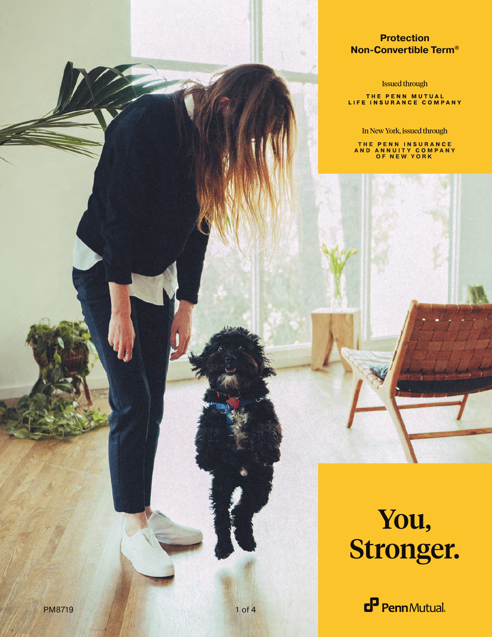#### **Protection Non-Convertible Term®**

Issued through

THE PENN MUTUAL<br>LIFE INSURANCE COMPANY

In New York, issued through

**THE PENN INSURANCE<br>AND ANNUITY COMPANY<br>OF NEW YORK** 

# You, Stronger.

<sup>P</sup> Penn Mutual.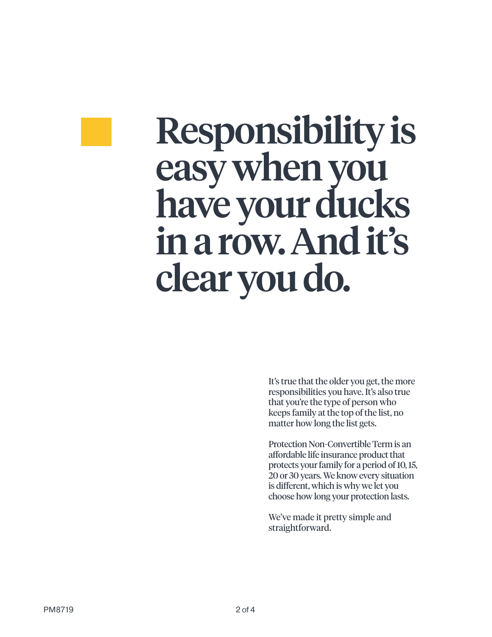# Responsibility is easy when you have your ducks in a row. And it's clear you do.

It's true that the older you get, the more responsibilities you have. It's also true that you're the type of person who keeps family at the top of the list, no matter how long the list gets.

Protection Non-Convertible Term is an affordable life insurance product that protects your family for a period of 10, 15, 20 or 30 years. We know every situation is different, which is why we let you choose how long your protection lasts.

We've made it pretty simple and straightforward.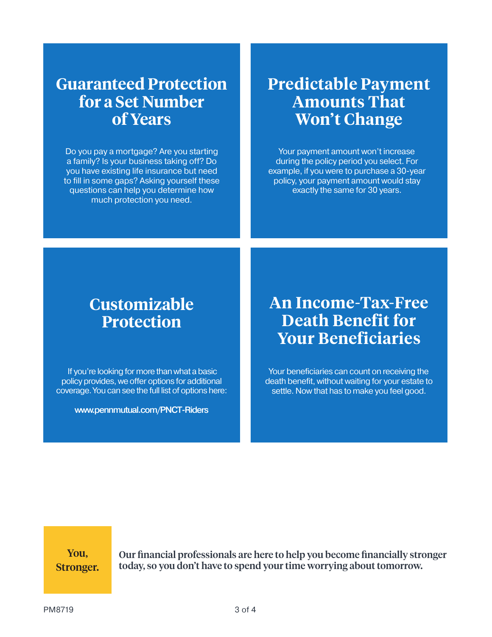## **Guaranteed Protection for a Set Number of Years**

Do you pay a mortgage? Are you starting a family? Is your business taking off? Do you have existing life insurance but need to fill in some gaps? Asking yourself these questions can help you determine how much protection you need.

# **Predictable Payment Amounts That Won't Change**

Your payment amount won't increase during the policy period you select. For example, if you were to purchase a 30-year policy, your payment amount would stay exactly the same for 30 years.

# **Customizable Protection**

 If you're looking for more than what a basic policy provides, we offer options for additional coverage. You can see the full list of options here:

www.pennmutual.com/PNCT-Riders

## **An Income-Tax-Free Death Benefit for Your Beneficiaries**

Your beneficiaries can count on receiving the death benefit, without waiting for your estate to settle. Now that has to make you feel good.

You, Stronger. Our financial professionals are here to help you become financially stronger today, so you don't have to spend your time worrying about tomorrow.